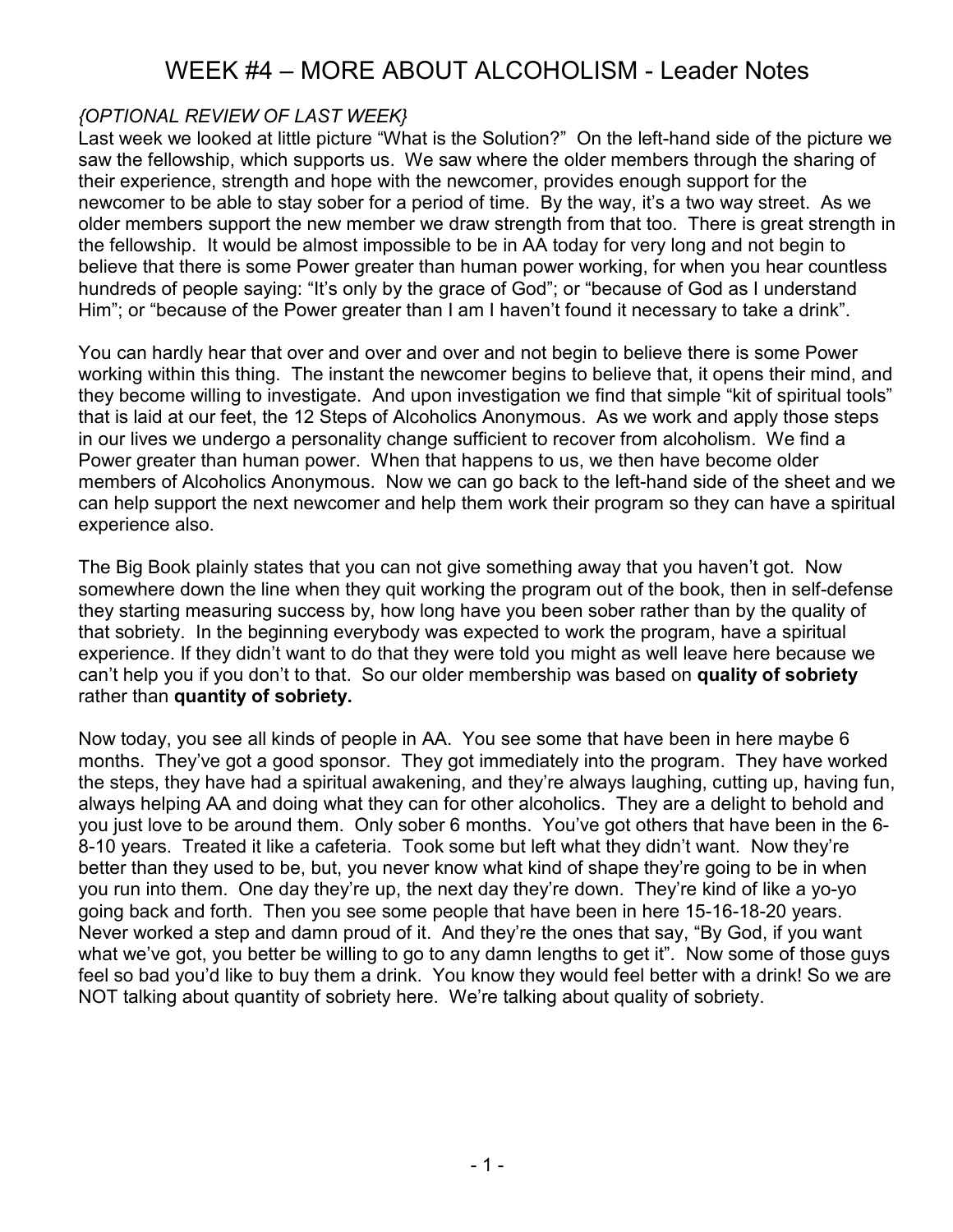### {OPTIONAL REVIEW OF LAST WEEK}

Last week we looked at little picture "What is the Solution?" On the left-hand side of the picture we saw the fellowship, which supports us. We saw where the older members through the sharing of their experience, strength and hope with the newcomer, provides enough support for the newcomer to be able to stay sober for a period of time. By the way, it's a two way street. As we older members support the new member we draw strength from that too. There is great strength in the fellowship. It would be almost impossible to be in AA today for very long and not begin to believe that there is some Power greater than human power working, for when you hear countless hundreds of people saying: "It's only by the grace of God"; or "because of God as I understand Him"; or "because of the Power greater than I am I haven't found it necessary to take a drink".

You can hardly hear that over and over and over and not begin to believe there is some Power working within this thing. The instant the newcomer begins to believe that, it opens their mind, and they become willing to investigate. And upon investigation we find that simple "kit of spiritual tools" that is laid at our feet, the 12 Steps of Alcoholics Anonymous. As we work and apply those steps in our lives we undergo a personality change sufficient to recover from alcoholism. We find a Power greater than human power. When that happens to us, we then have become older members of Alcoholics Anonymous. Now we can go back to the left-hand side of the sheet and we can help support the next newcomer and help them work their program so they can have a spiritual experience also.

The Big Book plainly states that you can not give something away that you haven't got. Now somewhere down the line when they quit working the program out of the book, then in self-defense they starting measuring success by, how long have you been sober rather than by the quality of that sobriety. In the beginning everybody was expected to work the program, have a spiritual experience. If they didn't want to do that they were told you might as well leave here because we can't help you if you don't to that. So our older membership was based on quality of sobriety rather than quantity of sobriety.

Now today, you see all kinds of people in AA. You see some that have been in here maybe 6 months. They've got a good sponsor. They got immediately into the program. They have worked the steps, they have had a spiritual awakening, and they're always laughing, cutting up, having fun, always helping AA and doing what they can for other alcoholics. They are a delight to behold and you just love to be around them. Only sober 6 months. You've got others that have been in the 6- 8-10 years. Treated it like a cafeteria. Took some but left what they didn't want. Now they're better than they used to be, but, you never know what kind of shape they're going to be in when you run into them. One day they're up, the next day they're down. They're kind of like a yo-yo going back and forth. Then you see some people that have been in here 15-16-18-20 years. Never worked a step and damn proud of it. And they're the ones that say, "By God, if you want what we've got, you better be willing to go to any damn lengths to get it". Now some of those guys feel so bad you'd like to buy them a drink. You know they would feel better with a drink! So we are NOT talking about quantity of sobriety here. We're talking about quality of sobriety.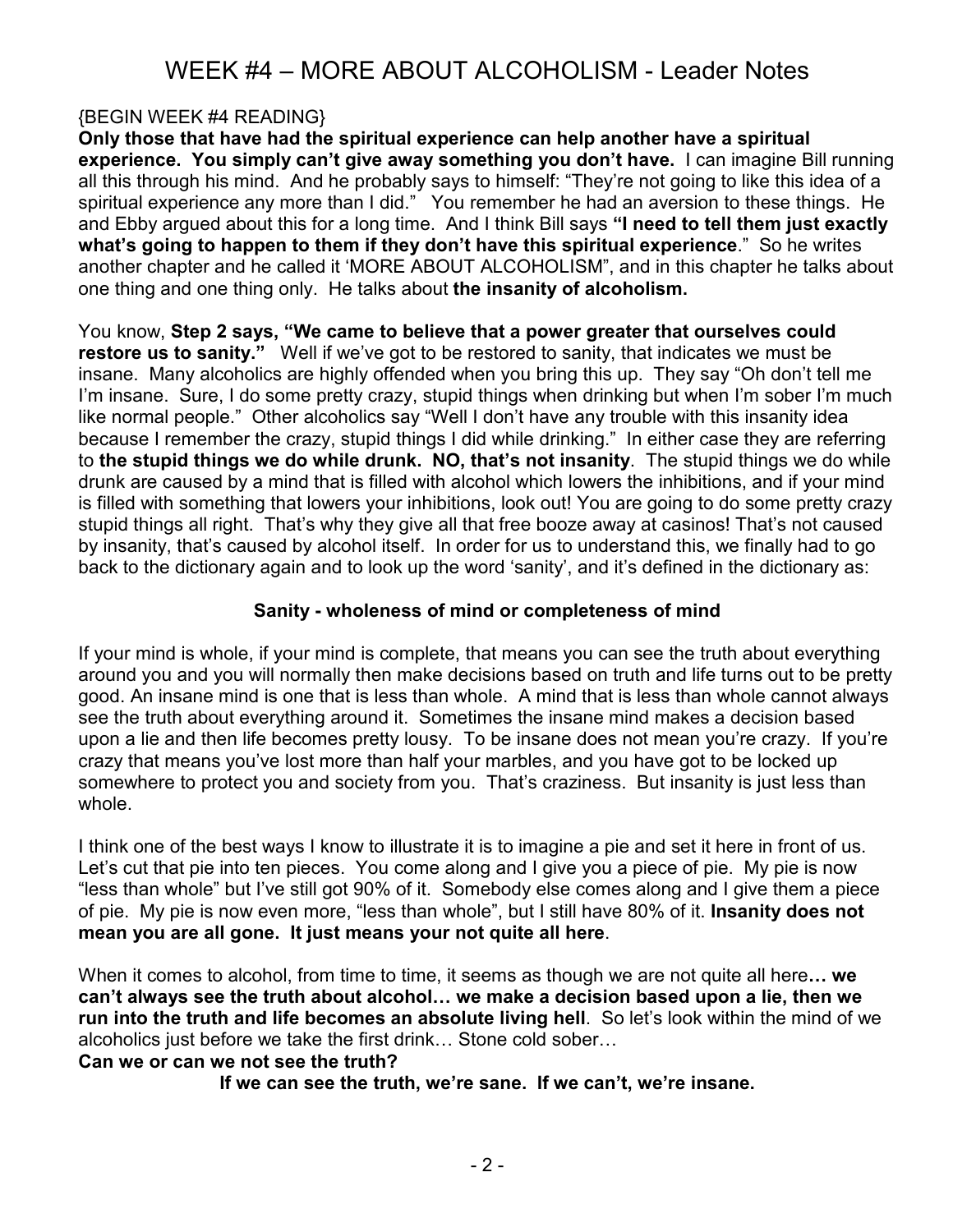### {BEGIN WEEK #4 READING}

Only those that have had the spiritual experience can help another have a spiritual experience. You simply can't give away something you don't have. I can imagine Bill running all this through his mind. And he probably says to himself: "They're not going to like this idea of a spiritual experience any more than I did." You remember he had an aversion to these things. He and Ebby argued about this for a long time. And I think Bill says "I need to tell them just exactly what's going to happen to them if they don't have this spiritual experience." So he writes another chapter and he called it 'MORE ABOUT ALCOHOLISM", and in this chapter he talks about one thing and one thing only. He talks about the insanity of alcoholism.

You know, Step 2 says, "We came to believe that a power greater that ourselves could restore us to sanity." Well if we've got to be restored to sanity, that indicates we must be insane. Many alcoholics are highly offended when you bring this up. They say "Oh don't tell me I'm insane. Sure, I do some pretty crazy, stupid things when drinking but when I'm sober I'm much like normal people." Other alcoholics say "Well I don't have any trouble with this insanity idea because I remember the crazy, stupid things I did while drinking." In either case they are referring to the stupid things we do while drunk. NO, that's not insanity. The stupid things we do while drunk are caused by a mind that is filled with alcohol which lowers the inhibitions, and if your mind is filled with something that lowers your inhibitions, look out! You are going to do some pretty crazy stupid things all right. That's why they give all that free booze away at casinos! That's not caused by insanity, that's caused by alcohol itself. In order for us to understand this, we finally had to go back to the dictionary again and to look up the word 'sanity', and it's defined in the dictionary as:

#### Sanity - wholeness of mind or completeness of mind

If your mind is whole, if your mind is complete, that means you can see the truth about everything around you and you will normally then make decisions based on truth and life turns out to be pretty good. An insane mind is one that is less than whole. A mind that is less than whole cannot always see the truth about everything around it. Sometimes the insane mind makes a decision based upon a lie and then life becomes pretty lousy. To be insane does not mean you're crazy. If you're crazy that means you've lost more than half your marbles, and you have got to be locked up somewhere to protect you and society from you. That's craziness. But insanity is just less than whole.

I think one of the best ways I know to illustrate it is to imagine a pie and set it here in front of us. Let's cut that pie into ten pieces. You come along and I give you a piece of pie. My pie is now "less than whole" but I've still got 90% of it. Somebody else comes along and I give them a piece of pie. My pie is now even more, "less than whole", but I still have 80% of it. Insanity does not mean you are all gone. It just means your not quite all here.

When it comes to alcohol, from time to time, it seems as though we are not quite all here... we can't always see the truth about alcohol… we make a decision based upon a lie, then we run into the truth and life becomes an absolute living hell. So let's look within the mind of we alcoholics just before we take the first drink… Stone cold sober…

#### Can we or can we not see the truth?

If we can see the truth, we're sane. If we can't, we're insane.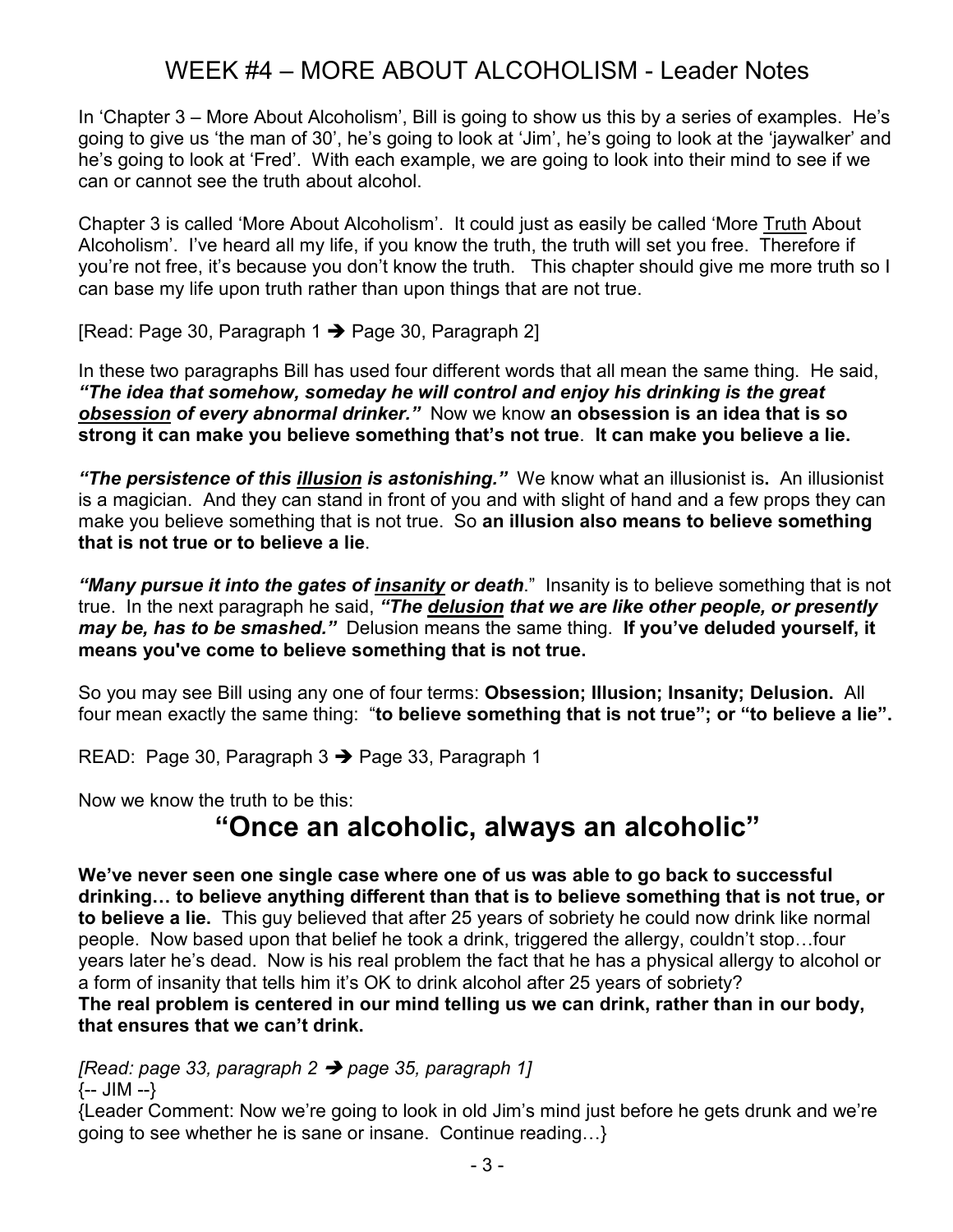In 'Chapter 3 – More About Alcoholism', Bill is going to show us this by a series of examples. He's going to give us 'the man of 30', he's going to look at 'Jim', he's going to look at the 'jaywalker' and he's going to look at 'Fred'. With each example, we are going to look into their mind to see if we can or cannot see the truth about alcohol.

Chapter 3 is called 'More About Alcoholism'. It could just as easily be called 'More Truth About Alcoholism'. I've heard all my life, if you know the truth, the truth will set you free. Therefore if you're not free, it's because you don't know the truth. This chapter should give me more truth so I can base my life upon truth rather than upon things that are not true.

[Read: Page 30, Paragraph  $1 \rightarrow$  Page 30, Paragraph 2]

In these two paragraphs Bill has used four different words that all mean the same thing. He said, "The idea that somehow, someday he will control and enjoy his drinking is the great obsession of every abnormal drinker." Now we know an obsession is an idea that is so strong it can make you believe something that's not true. It can make you believe a lie.

"The persistence of this illusion is astonishing." We know what an illusionist is. An illusionist is a magician. And they can stand in front of you and with slight of hand and a few props they can make you believe something that is not true. So an illusion also means to believe something that is not true or to believe a lie.

"Many pursue it into the gates of insanity or death." Insanity is to believe something that is not true. In the next paragraph he said, "The delusion that we are like other people, or presently may be, has to be smashed." Delusion means the same thing. If you've deluded yourself, it means you've come to believe something that is not true.

So you may see Bill using any one of four terms: Obsession; Illusion; Insanity; Delusion. All four mean exactly the same thing: "to believe something that is not true"; or "to believe a lie".

READ: Page 30, Paragraph  $3 \rightarrow$  Page 33, Paragraph 1

Now we know the truth to be this:

# "Once an alcoholic, always an alcoholic"

We've never seen one single case where one of us was able to go back to successful drinking… to believe anything different than that is to believe something that is not true, or to believe a lie. This guy believed that after 25 years of sobriety he could now drink like normal people. Now based upon that belief he took a drink, triggered the allergy, couldn't stop…four years later he's dead. Now is his real problem the fact that he has a physical allergy to alcohol or a form of insanity that tells him it's OK to drink alcohol after 25 years of sobriety? The real problem is centered in our mind telling us we can drink, rather than in our body, that ensures that we can't drink.

[Read: page 33, paragraph  $2 \rightarrow$  page 35, paragraph 1]

{-- JIM --}

{Leader Comment: Now we're going to look in old Jim's mind just before he gets drunk and we're going to see whether he is sane or insane. Continue reading…}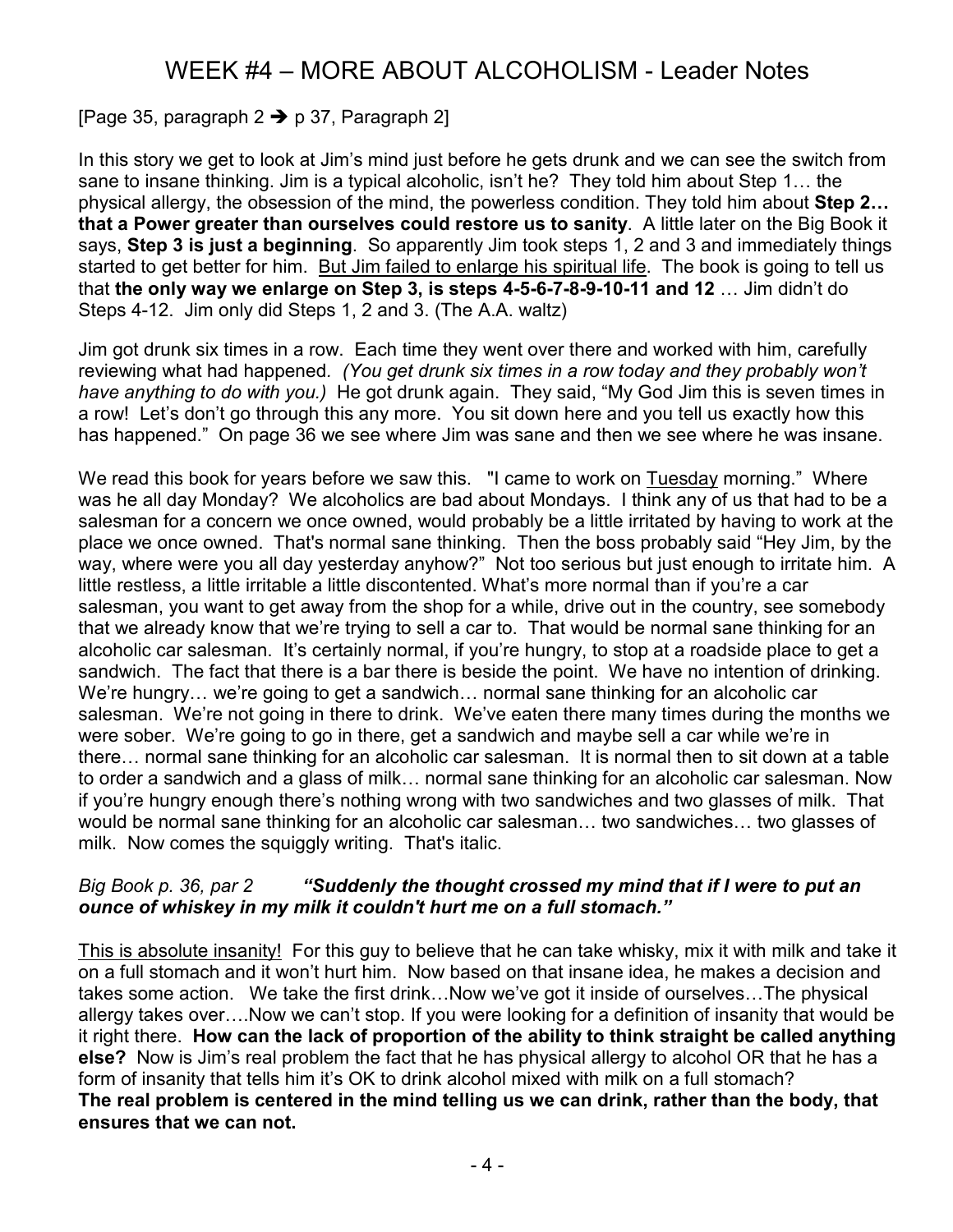### [Page 35, paragraph  $2 \rightarrow p$  37, Paragraph 2]

In this story we get to look at Jim's mind just before he gets drunk and we can see the switch from sane to insane thinking. Jim is a typical alcoholic, isn't he? They told him about Step 1… the physical allergy, the obsession of the mind, the powerless condition. They told him about Step 2... that a Power greater than ourselves could restore us to sanity. A little later on the Big Book it says, Step 3 is just a beginning. So apparently Jim took steps 1, 2 and 3 and immediately things started to get better for him. But Jim failed to enlarge his spiritual life. The book is going to tell us that the only way we enlarge on Step 3, is steps 4-5-6-7-8-9-10-11 and 12 … Jim didn't do Steps 4-12. Jim only did Steps 1, 2 and 3. (The A.A. waltz)

Jim got drunk six times in a row. Each time they went over there and worked with him, carefully reviewing what had happened. (You get drunk six times in a row today and they probably won't have anything to do with you.) He got drunk again. They said, "My God Jim this is seven times in a row! Let's don't go through this any more. You sit down here and you tell us exactly how this has happened." On page 36 we see where Jim was sane and then we see where he was insane.

We read this book for years before we saw this. "I came to work on Tuesday morning." Where was he all day Monday? We alcoholics are bad about Mondays. I think any of us that had to be a salesman for a concern we once owned, would probably be a little irritated by having to work at the place we once owned. That's normal sane thinking. Then the boss probably said "Hey Jim, by the way, where were you all day yesterday anyhow?" Not too serious but just enough to irritate him. A little restless, a little irritable a little discontented. What's more normal than if you're a car salesman, you want to get away from the shop for a while, drive out in the country, see somebody that we already know that we're trying to sell a car to. That would be normal sane thinking for an alcoholic car salesman. It's certainly normal, if you're hungry, to stop at a roadside place to get a sandwich. The fact that there is a bar there is beside the point. We have no intention of drinking. We're hungry… we're going to get a sandwich… normal sane thinking for an alcoholic car salesman. We're not going in there to drink. We've eaten there many times during the months we were sober. We're going to go in there, get a sandwich and maybe sell a car while we're in there… normal sane thinking for an alcoholic car salesman. It is normal then to sit down at a table to order a sandwich and a glass of milk… normal sane thinking for an alcoholic car salesman. Now if you're hungry enough there's nothing wrong with two sandwiches and two glasses of milk. That would be normal sane thinking for an alcoholic car salesman… two sandwiches… two glasses of milk. Now comes the squiggly writing. That's italic.

#### Big Book p. 36, par 2 "Suddenly the thought crossed my mind that if I were to put an ounce of whiskey in my milk it couldn't hurt me on a full stomach."

This is absolute insanity! For this guy to believe that he can take whisky, mix it with milk and take it on a full stomach and it won't hurt him. Now based on that insane idea, he makes a decision and takes some action. We take the first drink…Now we've got it inside of ourselves…The physical allergy takes over….Now we can't stop. If you were looking for a definition of insanity that would be it right there. How can the lack of proportion of the ability to think straight be called anything else? Now is Jim's real problem the fact that he has physical allergy to alcohol OR that he has a form of insanity that tells him it's OK to drink alcohol mixed with milk on a full stomach? The real problem is centered in the mind telling us we can drink, rather than the body, that ensures that we can not.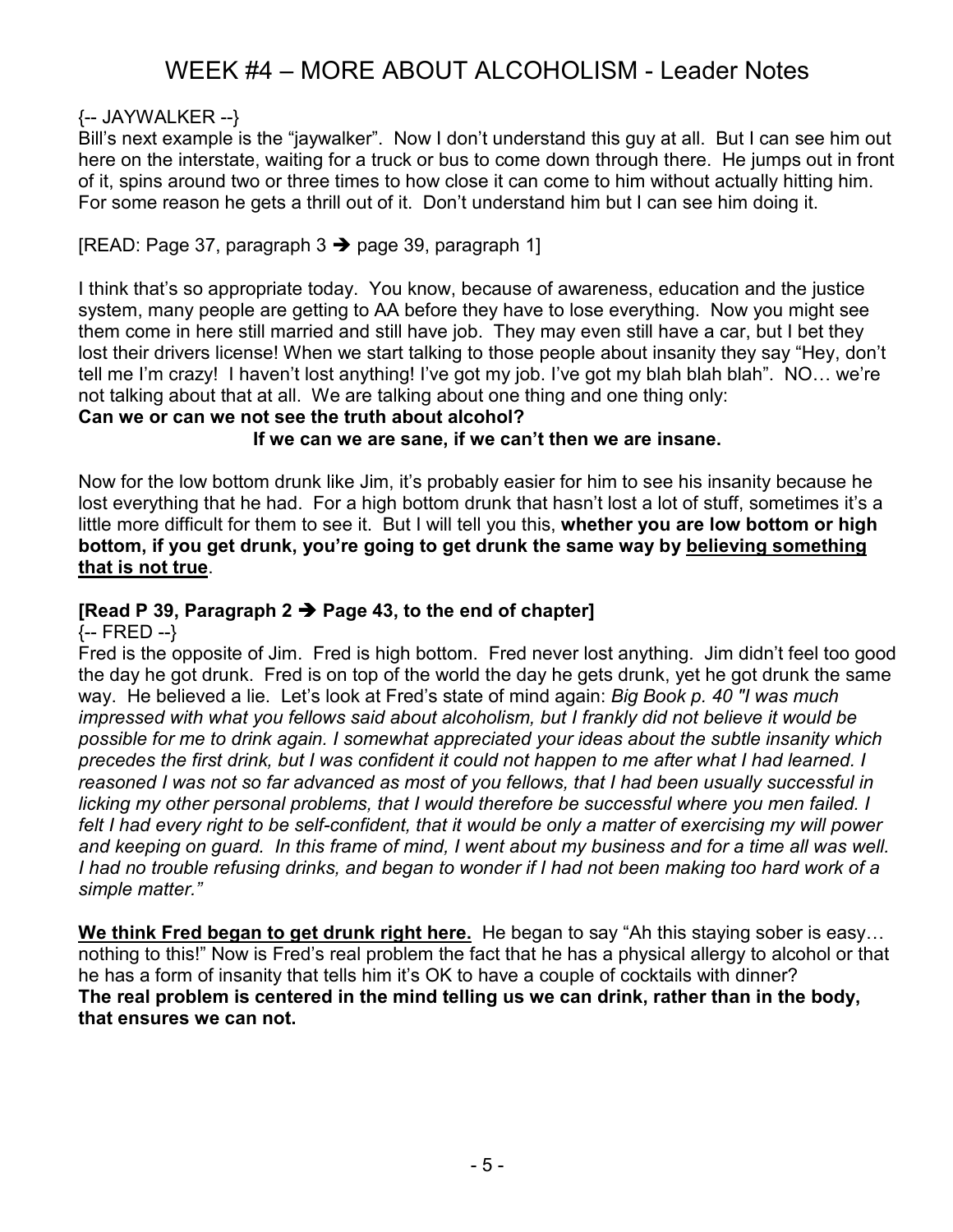### {-- JAYWALKER --}

Bill's next example is the "jaywalker". Now I don't understand this guy at all. But I can see him out here on the interstate, waiting for a truck or bus to come down through there. He jumps out in front of it, spins around two or three times to how close it can come to him without actually hitting him. For some reason he gets a thrill out of it. Don't understand him but I can see him doing it.

### [READ: Page 37, paragraph  $3 \rightarrow$  page 39, paragraph 1]

I think that's so appropriate today. You know, because of awareness, education and the justice system, many people are getting to AA before they have to lose everything. Now you might see them come in here still married and still have job. They may even still have a car, but I bet they lost their drivers license! When we start talking to those people about insanity they say "Hey, don't tell me I'm crazy! I haven't lost anything! I've got my job. I've got my blah blah blah". NO… we're not talking about that at all. We are talking about one thing and one thing only:

Can we or can we not see the truth about alcohol?

If we can we are sane, if we can't then we are insane.

Now for the low bottom drunk like Jim, it's probably easier for him to see his insanity because he lost everything that he had. For a high bottom drunk that hasn't lost a lot of stuff, sometimes it's a little more difficult for them to see it. But I will tell you this, whether you are low bottom or high bottom, if you get drunk, you're going to get drunk the same way by believing something that is not true.

### [Read P 39, Paragraph 2  $\rightarrow$  Page 43, to the end of chapter]

{-- FRED --}

Fred is the opposite of Jim. Fred is high bottom. Fred never lost anything. Jim didn't feel too good the day he got drunk. Fred is on top of the world the day he gets drunk, yet he got drunk the same way. He believed a lie. Let's look at Fred's state of mind again: Big Book p. 40 "I was much impressed with what you fellows said about alcoholism, but I frankly did not believe it would be possible for me to drink again. I somewhat appreciated your ideas about the subtle insanity which precedes the first drink, but I was confident it could not happen to me after what I had learned. I reasoned I was not so far advanced as most of you fellows, that I had been usually successful in licking my other personal problems, that I would therefore be successful where you men failed. I felt I had every right to be self-confident, that it would be only a matter of exercising my will power and keeping on guard. In this frame of mind, I went about my business and for a time all was well. I had no trouble refusing drinks, and began to wonder if I had not been making too hard work of a simple matter."

We think Fred began to get drunk right here. He began to say "Ah this staying sober is easy... nothing to this!" Now is Fred's real problem the fact that he has a physical allergy to alcohol or that he has a form of insanity that tells him it's OK to have a couple of cocktails with dinner? The real problem is centered in the mind telling us we can drink, rather than in the body, that ensures we can not.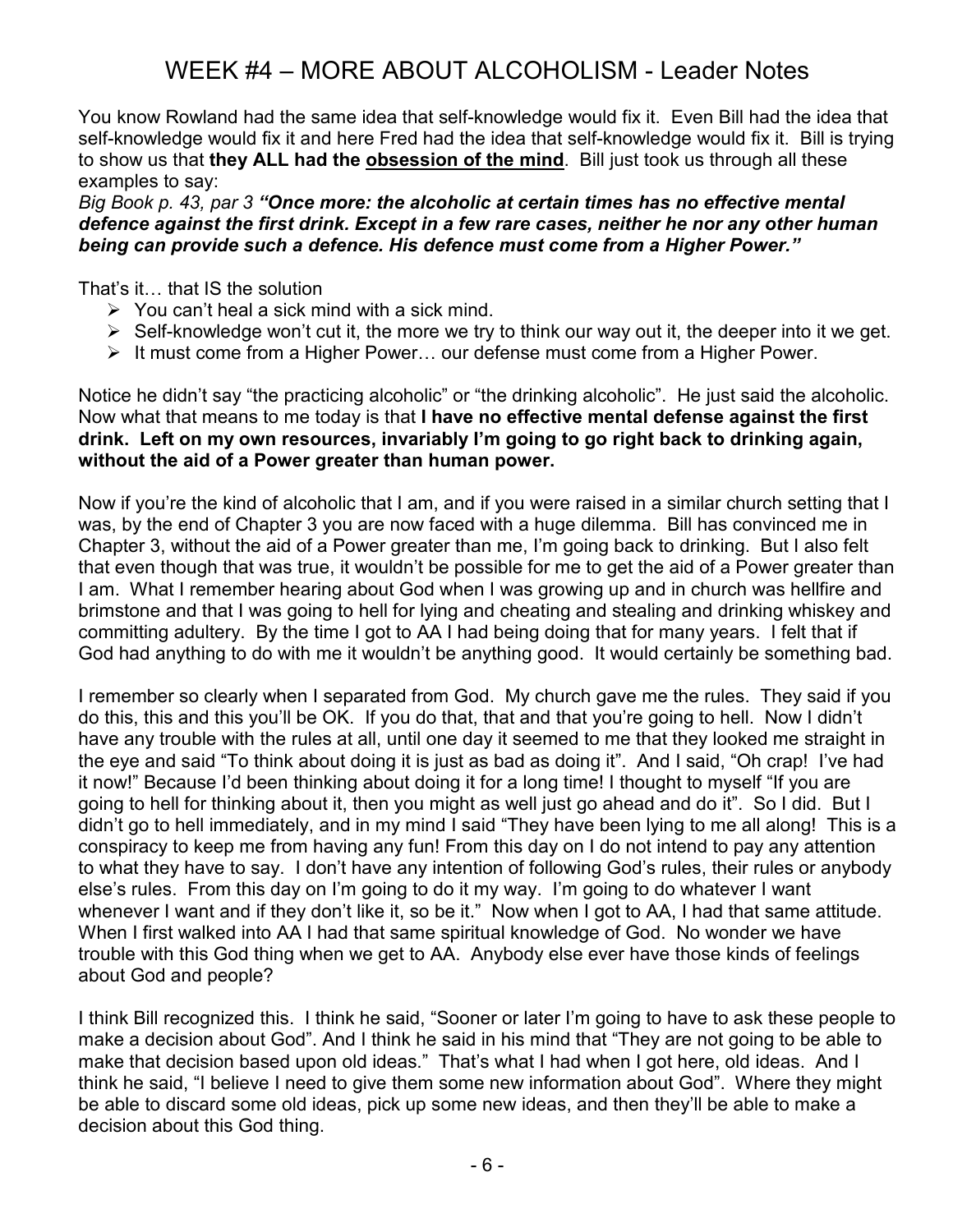You know Rowland had the same idea that self-knowledge would fix it. Even Bill had the idea that self-knowledge would fix it and here Fred had the idea that self-knowledge would fix it. Bill is trying to show us that they ALL had the obsession of the mind. Bill just took us through all these examples to say:

#### Big Book p. 43, par 3 "Once more: the alcoholic at certain times has no effective mental defence against the first drink. Except in a few rare cases, neither he nor any other human being can provide such a defence. His defence must come from a Higher Power."

That's it… that IS the solution

- $\triangleright$  You can't heal a sick mind with a sick mind.
- > Self-knowledge won't cut it, the more we try to think our way out it, the deeper into it we get.
- > It must come from a Higher Power... our defense must come from a Higher Power.

Notice he didn't say "the practicing alcoholic" or "the drinking alcoholic". He just said the alcoholic. Now what that means to me today is that I have no effective mental defense against the first drink. Left on my own resources, invariably I'm going to go right back to drinking again, without the aid of a Power greater than human power.

Now if you're the kind of alcoholic that I am, and if you were raised in a similar church setting that I was, by the end of Chapter 3 you are now faced with a huge dilemma. Bill has convinced me in Chapter 3, without the aid of a Power greater than me, I'm going back to drinking. But I also felt that even though that was true, it wouldn't be possible for me to get the aid of a Power greater than I am. What I remember hearing about God when I was growing up and in church was hellfire and brimstone and that I was going to hell for lying and cheating and stealing and drinking whiskey and committing adultery. By the time I got to AA I had being doing that for many years. I felt that if God had anything to do with me it wouldn't be anything good. It would certainly be something bad.

I remember so clearly when I separated from God. My church gave me the rules. They said if you do this, this and this you'll be OK. If you do that, that and that you're going to hell. Now I didn't have any trouble with the rules at all, until one day it seemed to me that they looked me straight in the eye and said "To think about doing it is just as bad as doing it". And I said, "Oh crap! I've had it now!" Because I'd been thinking about doing it for a long time! I thought to myself "If you are going to hell for thinking about it, then you might as well just go ahead and do it". So I did. But I didn't go to hell immediately, and in my mind I said "They have been lying to me all along! This is a conspiracy to keep me from having any fun! From this day on I do not intend to pay any attention to what they have to say. I don't have any intention of following God's rules, their rules or anybody else's rules. From this day on I'm going to do it my way. I'm going to do whatever I want whenever I want and if they don't like it, so be it." Now when I got to AA, I had that same attitude. When I first walked into AA I had that same spiritual knowledge of God. No wonder we have trouble with this God thing when we get to AA. Anybody else ever have those kinds of feelings about God and people?

I think Bill recognized this. I think he said, "Sooner or later I'm going to have to ask these people to make a decision about God". And I think he said in his mind that "They are not going to be able to make that decision based upon old ideas." That's what I had when I got here, old ideas. And I think he said, "I believe I need to give them some new information about God". Where they might be able to discard some old ideas, pick up some new ideas, and then they'll be able to make a decision about this God thing.